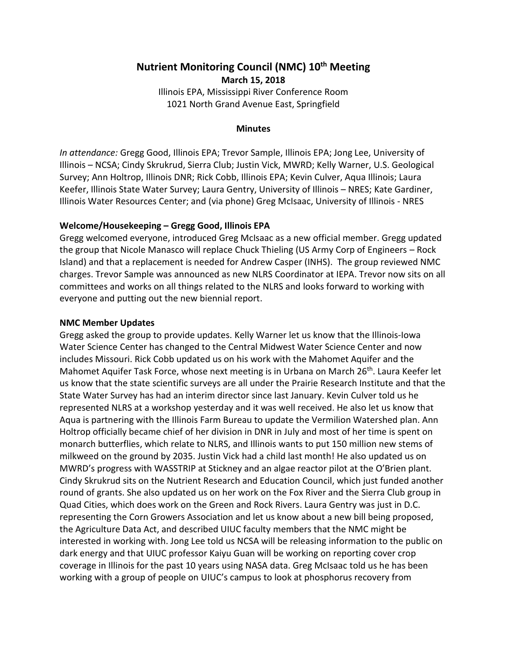# **Nutrient Monitoring Council (NMC) 10th Meeting March 15, 2018** Illinois EPA, Mississippi River Conference Room

1021 North Grand Avenue East, Springfield

#### **Minutes**

*In attendance:* Gregg Good, Illinois EPA; Trevor Sample, Illinois EPA; Jong Lee, University of Illinois – NCSA; Cindy Skrukrud, Sierra Club; Justin Vick, MWRD; Kelly Warner, U.S. Geological Survey; Ann Holtrop, Illinois DNR; Rick Cobb, Illinois EPA; Kevin Culver, Aqua Illinois; Laura Keefer, Illinois State Water Survey; Laura Gentry, University of Illinois – NRES; Kate Gardiner, Illinois Water Resources Center; and (via phone) Greg McIsaac, University of Illinois - NRES

#### **Welcome/Housekeeping – Gregg Good, Illinois EPA**

Gregg welcomed everyone, introduced Greg McIsaac as a new official member. Gregg updated the group that Nicole Manasco will replace Chuck Thieling (US Army Corp of Engineers – Rock Island) and that a replacement is needed for Andrew Casper (INHS). The group reviewed NMC charges. Trevor Sample was announced as new NLRS Coordinator at IEPA. Trevor now sits on all committees and works on all things related to the NLRS and looks forward to working with everyone and putting out the new biennial report.

#### **NMC Member Updates**

Gregg asked the group to provide updates. Kelly Warner let us know that the Illinois-Iowa Water Science Center has changed to the Central Midwest Water Science Center and now includes Missouri. Rick Cobb updated us on his work with the Mahomet Aquifer and the Mahomet Aquifer Task Force, whose next meeting is in Urbana on March 26<sup>th</sup>. Laura Keefer let us know that the state scientific surveys are all under the Prairie Research Institute and that the State Water Survey has had an interim director since last January. Kevin Culver told us he represented NLRS at a workshop yesterday and it was well received. He also let us know that Aqua is partnering with the Illinois Farm Bureau to update the Vermilion Watershed plan. Ann Holtrop officially became chief of her division in DNR in July and most of her time is spent on monarch butterflies, which relate to NLRS, and Illinois wants to put 150 million new stems of milkweed on the ground by 2035. Justin Vick had a child last month! He also updated us on MWRD's progress with WASSTRIP at Stickney and an algae reactor pilot at the O'Brien plant. Cindy Skrukrud sits on the Nutrient Research and Education Council, which just funded another round of grants. She also updated us on her work on the Fox River and the Sierra Club group in Quad Cities, which does work on the Green and Rock Rivers. Laura Gentry was just in D.C. representing the Corn Growers Association and let us know about a new bill being proposed, the Agriculture Data Act, and described UIUC faculty members that the NMC might be interested in working with. Jong Lee told us NCSA will be releasing information to the public on dark energy and that UIUC professor Kaiyu Guan will be working on reporting cover crop coverage in Illinois for the past 10 years using NASA data. Greg McIsaac told us he has been working with a group of people on UIUC's campus to look at phosphorus recovery from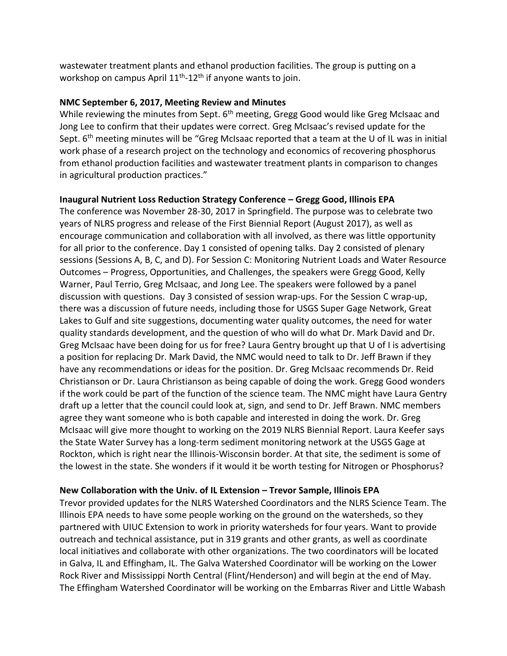wastewater treatment plants and ethanol production facilities. The group is putting on a workshop on campus April 11<sup>th</sup>-12<sup>th</sup> if anyone wants to join.

## **NMC September 6, 2017, Meeting Review and Minutes**

While reviewing the minutes from Sept. 6<sup>th</sup> meeting, Gregg Good would like Greg McIsaac and Jong Lee to confirm that their updates were correct. Greg McIsaac's revised update for the Sept. 6<sup>th</sup> meeting minutes will be "Greg McIsaac reported that a team at the U of IL was in initial work phase of a research project on the technology and economics of recovering phosphorus from ethanol production facilities and wastewater treatment plants in comparison to changes in agricultural production practices."

# **Inaugural Nutrient Loss Reduction Strategy Conference – Gregg Good, Illinois EPA**

The conference was November 28-30, 2017 in Springfield. The purpose was to celebrate two years of NLRS progress and release of the First Biennial Report (August 2017), as well as encourage communication and collaboration with all involved, as there was little opportunity for all prior to the conference. Day 1 consisted of opening talks. Day 2 consisted of plenary sessions (Sessions A, B, C, and D). For Session C: Monitoring Nutrient Loads and Water Resource Outcomes – Progress, Opportunities, and Challenges, the speakers were Gregg Good, Kelly Warner, Paul Terrio, Greg McIsaac, and Jong Lee. The speakers were followed by a panel discussion with questions. Day 3 consisted of session wrap-ups. For the Session C wrap-up, there was a discussion of future needs, including those for USGS Super Gage Network, Great Lakes to Gulf and site suggestions, documenting water quality outcomes, the need for water quality standards development, and the question of who will do what Dr. Mark David and Dr. Greg McIsaac have been doing for us for free? Laura Gentry brought up that U of I is advertising a position for replacing Dr. Mark David, the NMC would need to talk to Dr. Jeff Brawn if they have any recommendations or ideas for the position. Dr. Greg McIsaac recommends Dr. Reid Christianson or Dr. Laura Christianson as being capable of doing the work. Gregg Good wonders if the work could be part of the function of the science team. The NMC might have Laura Gentry draft up a letter that the council could look at, sign, and send to Dr. Jeff Brawn. NMC members agree they want someone who is both capable and interested in doing the work. Dr. Greg McIsaac will give more thought to working on the 2019 NLRS Biennial Report. Laura Keefer says the State Water Survey has a long-term sediment monitoring network at the USGS Gage at Rockton, which is right near the Illinois-Wisconsin border. At that site, the sediment is some of the lowest in the state. She wonders if it would it be worth testing for Nitrogen or Phosphorus?

# **New Collaboration with the Univ. of IL Extension – Trevor Sample, Illinois EPA**

Trevor provided updates for the NLRS Watershed Coordinators and the NLRS Science Team. The Illinois EPA needs to have some people working on the ground on the watersheds, so they partnered with UIUC Extension to work in priority watersheds for four years. Want to provide outreach and technical assistance, put in 319 grants and other grants, as well as coordinate local initiatives and collaborate with other organizations. The two coordinators will be located in Galva, IL and Effingham, IL. The Galva Watershed Coordinator will be working on the Lower Rock River and Mississippi North Central (Flint/Henderson) and will begin at the end of May. The Effingham Watershed Coordinator will be working on the Embarras River and Little Wabash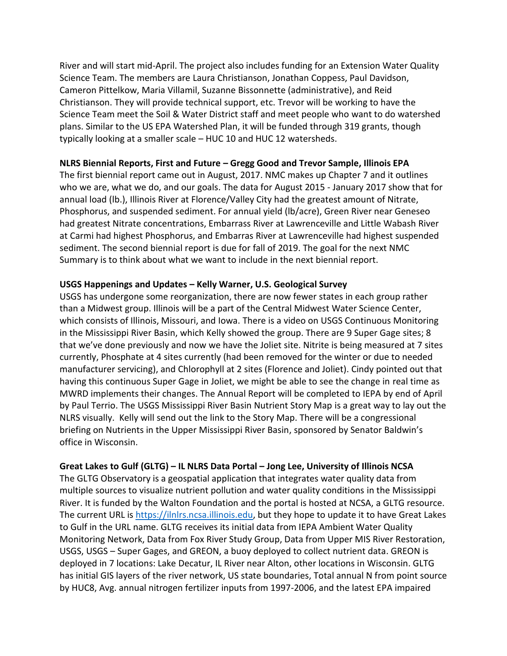River and will start mid-April. The project also includes funding for an Extension Water Quality Science Team. The members are Laura Christianson, Jonathan Coppess, Paul Davidson, Cameron Pittelkow, Maria Villamil, Suzanne Bissonnette (administrative), and Reid Christianson. They will provide technical support, etc. Trevor will be working to have the Science Team meet the Soil & Water District staff and meet people who want to do watershed plans. Similar to the US EPA Watershed Plan, it will be funded through 319 grants, though typically looking at a smaller scale – HUC 10 and HUC 12 watersheds.

#### **NLRS Biennial Reports, First and Future – Gregg Good and Trevor Sample, Illinois EPA**

The first biennial report came out in August, 2017. NMC makes up Chapter 7 and it outlines who we are, what we do, and our goals. The data for August 2015 - January 2017 show that for annual load (lb.), Illinois River at Florence/Valley City had the greatest amount of Nitrate, Phosphorus, and suspended sediment. For annual yield (lb/acre), Green River near Geneseo had greatest Nitrate concentrations, Embarrass River at Lawrenceville and Little Wabash River at Carmi had highest Phosphorus, and Embarras River at Lawrenceville had highest suspended sediment. The second biennial report is due for fall of 2019. The goal for the next NMC Summary is to think about what we want to include in the next biennial report.

### **USGS Happenings and Updates – Kelly Warner, U.S. Geological Survey**

USGS has undergone some reorganization, there are now fewer states in each group rather than a Midwest group. Illinois will be a part of the Central Midwest Water Science Center, which consists of Illinois, Missouri, and Iowa. There is a video on USGS Continuous Monitoring in the Mississippi River Basin, which Kelly showed the group. There are 9 Super Gage sites; 8 that we've done previously and now we have the Joliet site. Nitrite is being measured at 7 sites currently, Phosphate at 4 sites currently (had been removed for the winter or due to needed manufacturer servicing), and Chlorophyll at 2 sites (Florence and Joliet). Cindy pointed out that having this continuous Super Gage in Joliet, we might be able to see the change in real time as MWRD implements their changes. The Annual Report will be completed to IEPA by end of April by Paul Terrio. The USGS Mississippi River Basin Nutrient Story Map is a great way to lay out the NLRS visually. Kelly will send out the link to the Story Map. There will be a congressional briefing on Nutrients in the Upper Mississippi River Basin, sponsored by Senator Baldwin's office in Wisconsin.

### **Great Lakes to Gulf (GLTG) – IL NLRS Data Portal – Jong Lee, University of Illinois NCSA**

The GLTG Observatory is a geospatial application that integrates water quality data from multiple sources to visualize nutrient pollution and water quality conditions in the Mississippi River. It is funded by the Walton Foundation and the portal is hosted at NCSA, a GLTG resource. The current URL is [https://ilnlrs.ncsa.illinois.edu,](https://ilnlrs.ncsa.illinois.edu/) but they hope to update it to have Great Lakes to Gulf in the URL name. GLTG receives its initial data from IEPA Ambient Water Quality Monitoring Network, Data from Fox River Study Group, Data from Upper MIS River Restoration, USGS, USGS – Super Gages, and GREON, a buoy deployed to collect nutrient data. GREON is deployed in 7 locations: Lake Decatur, IL River near Alton, other locations in Wisconsin. GLTG has initial GIS layers of the river network, US state boundaries, Total annual N from point source by HUC8, Avg. annual nitrogen fertilizer inputs from 1997-2006, and the latest EPA impaired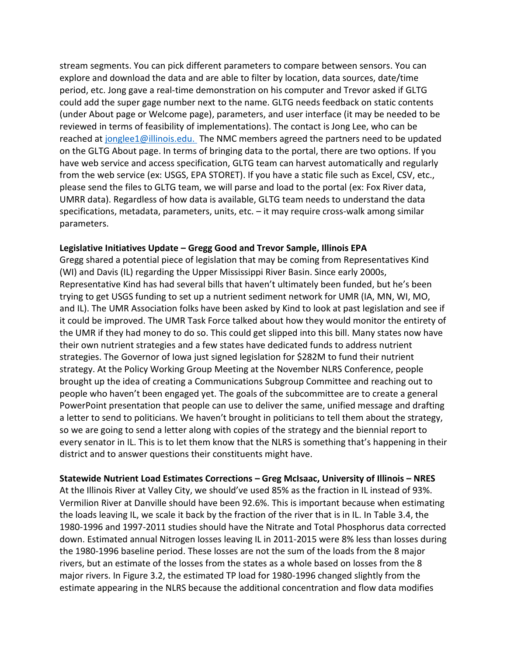stream segments. You can pick different parameters to compare between sensors. You can explore and download the data and are able to filter by location, data sources, date/time period, etc. Jong gave a real-time demonstration on his computer and Trevor asked if GLTG could add the super gage number next to the name. GLTG needs feedback on static contents (under About page or Welcome page), parameters, and user interface (it may be needed to be reviewed in terms of feasibility of implementations). The contact is Jong Lee, who can be reached at [jonglee1@illinois.edu.](mailto:jonglee1@illinois.edu) The NMC members agreed the partners need to be updated on the GLTG About page. In terms of bringing data to the portal, there are two options. If you have web service and access specification, GLTG team can harvest automatically and regularly from the web service (ex: USGS, EPA STORET). If you have a static file such as Excel, CSV, etc., please send the files to GLTG team, we will parse and load to the portal (ex: Fox River data, UMRR data). Regardless of how data is available, GLTG team needs to understand the data specifications, metadata, parameters, units, etc. – it may require cross-walk among similar parameters.

#### **Legislative Initiatives Update – Gregg Good and Trevor Sample, Illinois EPA**

Gregg shared a potential piece of legislation that may be coming from Representatives Kind (WI) and Davis (IL) regarding the Upper Mississippi River Basin. Since early 2000s, Representative Kind has had several bills that haven't ultimately been funded, but he's been trying to get USGS funding to set up a nutrient sediment network for UMR (IA, MN, WI, MO, and IL). The UMR Association folks have been asked by Kind to look at past legislation and see if it could be improved. The UMR Task Force talked about how they would monitor the entirety of the UMR if they had money to do so. This could get slipped into this bill. Many states now have their own nutrient strategies and a few states have dedicated funds to address nutrient strategies. The Governor of Iowa just signed legislation for \$282M to fund their nutrient strategy. At the Policy Working Group Meeting at the November NLRS Conference, people brought up the idea of creating a Communications Subgroup Committee and reaching out to people who haven't been engaged yet. The goals of the subcommittee are to create a general PowerPoint presentation that people can use to deliver the same, unified message and drafting a letter to send to politicians. We haven't brought in politicians to tell them about the strategy, so we are going to send a letter along with copies of the strategy and the biennial report to every senator in IL. This is to let them know that the NLRS is something that's happening in their district and to answer questions their constituents might have.

**Statewide Nutrient Load Estimates Corrections – Greg McIsaac, University of Illinois – NRES**  At the Illinois River at Valley City, we should've used 85% as the fraction in IL instead of 93%. Vermilion River at Danville should have been 92.6%. This is important because when estimating the loads leaving IL, we scale it back by the fraction of the river that is in IL. In Table 3.4, the 1980-1996 and 1997-2011 studies should have the Nitrate and Total Phosphorus data corrected down. Estimated annual Nitrogen losses leaving IL in 2011-2015 were 8% less than losses during the 1980-1996 baseline period. These losses are not the sum of the loads from the 8 major rivers, but an estimate of the losses from the states as a whole based on losses from the 8 major rivers. In Figure 3.2, the estimated TP load for 1980-1996 changed slightly from the estimate appearing in the NLRS because the additional concentration and flow data modifies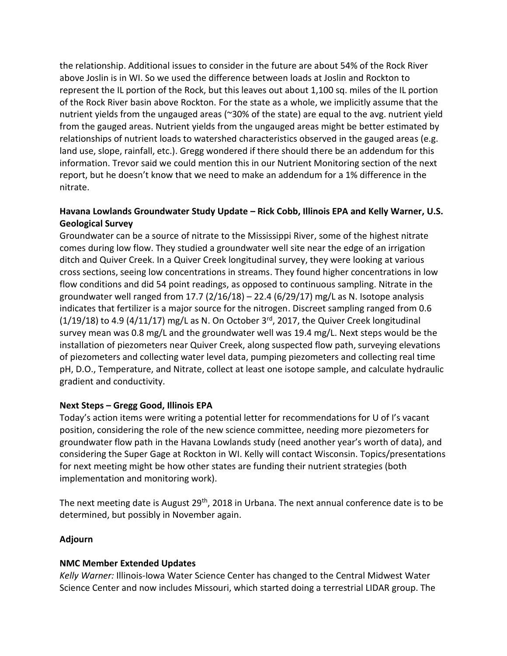the relationship. Additional issues to consider in the future are about 54% of the Rock River above Joslin is in WI. So we used the difference between loads at Joslin and Rockton to represent the IL portion of the Rock, but this leaves out about 1,100 sq. miles of the IL portion of the Rock River basin above Rockton. For the state as a whole, we implicitly assume that the nutrient yields from the ungauged areas (~30% of the state) are equal to the avg. nutrient yield from the gauged areas. Nutrient yields from the ungauged areas might be better estimated by relationships of nutrient loads to watershed characteristics observed in the gauged areas (e.g. land use, slope, rainfall, etc.). Gregg wondered if there should there be an addendum for this information. Trevor said we could mention this in our Nutrient Monitoring section of the next report, but he doesn't know that we need to make an addendum for a 1% difference in the nitrate.

# **Havana Lowlands Groundwater Study Update – Rick Cobb, Illinois EPA and Kelly Warner, U.S. Geological Survey**

Groundwater can be a source of nitrate to the Mississippi River, some of the highest nitrate comes during low flow. They studied a groundwater well site near the edge of an irrigation ditch and Quiver Creek. In a Quiver Creek longitudinal survey, they were looking at various cross sections, seeing low concentrations in streams. They found higher concentrations in low flow conditions and did 54 point readings, as opposed to continuous sampling. Nitrate in the groundwater well ranged from 17.7 ( $2/16/18$ ) – 22.4 ( $6/29/17$ ) mg/L as N. Isotope analysis indicates that fertilizer is a major source for the nitrogen. Discreet sampling ranged from 0.6  $(1/19/18)$  to 4.9 (4/11/17) mg/L as N. On October 3<sup>rd</sup>, 2017, the Quiver Creek longitudinal survey mean was 0.8 mg/L and the groundwater well was 19.4 mg/L. Next steps would be the installation of piezometers near Quiver Creek, along suspected flow path, surveying elevations of piezometers and collecting water level data, pumping piezometers and collecting real time pH, D.O., Temperature, and Nitrate, collect at least one isotope sample, and calculate hydraulic gradient and conductivity.

# **Next Steps – Gregg Good, Illinois EPA**

Today's action items were writing a potential letter for recommendations for U of I's vacant position, considering the role of the new science committee, needing more piezometers for groundwater flow path in the Havana Lowlands study (need another year's worth of data), and considering the Super Gage at Rockton in WI. Kelly will contact Wisconsin. Topics/presentations for next meeting might be how other states are funding their nutrient strategies (both implementation and monitoring work).

The next meeting date is August 29<sup>th</sup>, 2018 in Urbana. The next annual conference date is to be determined, but possibly in November again.

### **Adjourn**

### **NMC Member Extended Updates**

*Kelly Warner:* Illinois-Iowa Water Science Center has changed to the Central Midwest Water Science Center and now includes Missouri, which started doing a terrestrial LIDAR group. The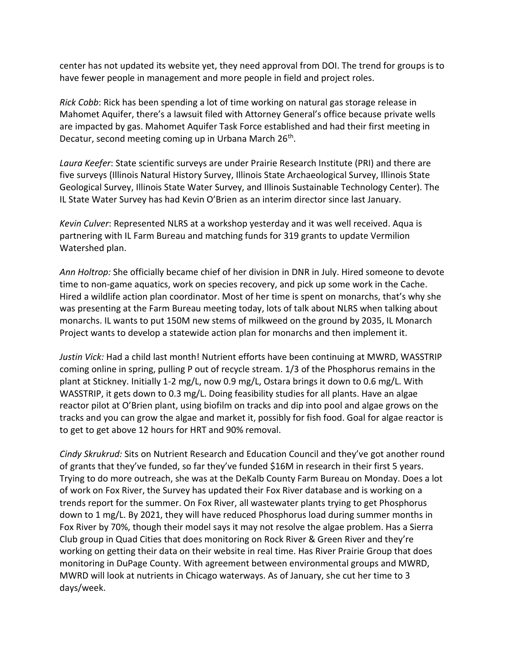center has not updated its website yet, they need approval from DOI. The trend for groups is to have fewer people in management and more people in field and project roles.

*Rick Cobb*: Rick has been spending a lot of time working on natural gas storage release in Mahomet Aquifer, there's a lawsuit filed with Attorney General's office because private wells are impacted by gas. Mahomet Aquifer Task Force established and had their first meeting in Decatur, second meeting coming up in Urbana March 26<sup>th</sup>.

*Laura Keefer*: State scientific surveys are under Prairie Research Institute (PRI) and there are five surveys (Illinois Natural History Survey, Illinois State Archaeological Survey, Illinois State Geological Survey, Illinois State Water Survey, and Illinois Sustainable Technology Center). The IL State Water Survey has had Kevin O'Brien as an interim director since last January.

*Kevin Culver*: Represented NLRS at a workshop yesterday and it was well received. Aqua is partnering with IL Farm Bureau and matching funds for 319 grants to update Vermilion Watershed plan.

*Ann Holtrop:* She officially became chief of her division in DNR in July. Hired someone to devote time to non-game aquatics, work on species recovery, and pick up some work in the Cache. Hired a wildlife action plan coordinator. Most of her time is spent on monarchs, that's why she was presenting at the Farm Bureau meeting today, lots of talk about NLRS when talking about monarchs. IL wants to put 150M new stems of milkweed on the ground by 2035, IL Monarch Project wants to develop a statewide action plan for monarchs and then implement it.

*Justin Vick:* Had a child last month! Nutrient efforts have been continuing at MWRD, WASSTRIP coming online in spring, pulling P out of recycle stream. 1/3 of the Phosphorus remains in the plant at Stickney. Initially 1-2 mg/L, now 0.9 mg/L, Ostara brings it down to 0.6 mg/L. With WASSTRIP, it gets down to 0.3 mg/L. Doing feasibility studies for all plants. Have an algae reactor pilot at O'Brien plant, using biofilm on tracks and dip into pool and algae grows on the tracks and you can grow the algae and market it, possibly for fish food. Goal for algae reactor is to get to get above 12 hours for HRT and 90% removal.

*Cindy Skrukrud:* Sits on Nutrient Research and Education Council and they've got another round of grants that they've funded, so far they've funded \$16M in research in their first 5 years. Trying to do more outreach, she was at the DeKalb County Farm Bureau on Monday. Does a lot of work on Fox River, the Survey has updated their Fox River database and is working on a trends report for the summer. On Fox River, all wastewater plants trying to get Phosphorus down to 1 mg/L. By 2021, they will have reduced Phosphorus load during summer months in Fox River by 70%, though their model says it may not resolve the algae problem. Has a Sierra Club group in Quad Cities that does monitoring on Rock River & Green River and they're working on getting their data on their website in real time. Has River Prairie Group that does monitoring in DuPage County. With agreement between environmental groups and MWRD, MWRD will look at nutrients in Chicago waterways. As of January, she cut her time to 3 days/week.